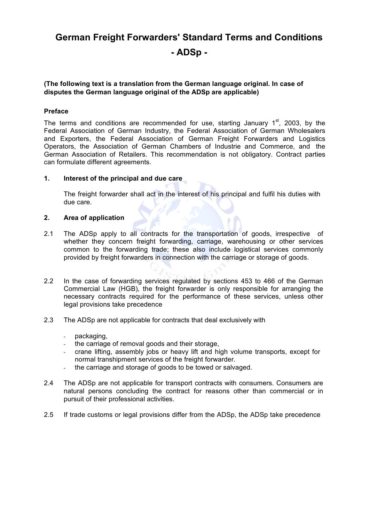# **German Freight Forwarders' Standard Terms and Conditions - ADSp -**

# **(The following text is a translation from the German language original. In case of disputes the German language original of the ADSp are applicable)**

## **Preface**

The terms and conditions are recommended for use, starting January  $1<sup>st</sup>$ , 2003, by the Federal Association of German Industry, the Federal Association of German Wholesalers and Exporters, the Federal Association of German Freight Forwarders and Logistics Operators, the Association of German Chambers of Industrie and Commerce, and the German Association of Retailers. This recommendation is not obligatory. Contract parties can formulate different agreements.

#### **1. Interest of the principal and due care**

The freight forwarder shall act in the interest of his principal and fulfil his duties with due care.

## **2. Area of application**

- 2.1 The ADSp apply to all contracts for the transportation of goods, irrespective of whether they concern freight forwarding, carriage, warehousing or other services common to the forwarding trade; these also include logistical services commonly provided by freight forwarders in connection with the carriage or storage of goods.
- 2.2 In the case of forwarding services regulated by sections 453 to 466 of the German Commercial Law (HGB), the freight forwarder is only responsible for arranging the necessary contracts required for the performance of these services, unless other legal provisions take precedence
- 2.3 The ADSp are not applicable for contracts that deal exclusively with
	- packaging,
	- the carriage of removal goods and their storage,
	- crane lifting, assembly jobs or heavy lift and high volume transports, except for normal transhipment services of the freight forwarder.
	- the carriage and storage of goods to be towed or salvaged.
- 2.4 The ADSp are not applicable for transport contracts with consumers. Consumers are natural persons concluding the contract for reasons other than commercial or in pursuit of their professional activities.
- 2.5 If trade customs or legal provisions differ from the ADSp, the ADSp take precedence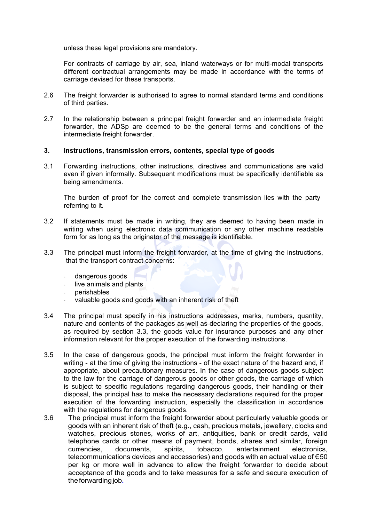unless these legal provisions are mandatory.

For contracts of carriage by air, sea, inland waterways or for multi-modal transports different contractual arrangements may be made in accordance with the terms of carriage devised for these transports.

- 2.6 The freight forwarder is authorised to agree to normal standard terms and conditions of third parties.
- 2.7 In the relationship between a principal freight forwarder and an intermediate freight forwarder, the ADSp are deemed to be the general terms and conditions of the intermediate freight forwarder.

## **3. Instructions, transmission errors, contents, special type of goods**

3.1 Forwarding instructions, other instructions, directives and communications are valid even if given informally. Subsequent modifications must be specifically identifiable as being amendments.

The burden of proof for the correct and complete transmission lies with the party referring to it.

- 3.2 If statements must be made in writing, they are deemed to having been made in writing when using electronic data communication or any other machine readable form for as long as the originator of the message is identifiable.
- 3.3 The principal must inform the freight forwarder, at the time of giving the instructions, that the transport contract concerns:
	- dangerous goods
	- live animals and plants
	- perishables
	- valuable goods and goods with an inherent risk of theft
- 3.4 The principal must specify in his instructions addresses, marks, numbers, quantity, nature and contents of the packages as well as declaring the properties of the goods, as required by section 3.3, the goods value for insurance purposes and any other information relevant for the proper execution of the forwarding instructions.
- 3.5 In the case of dangerous goods, the principal must inform the freight forwarder in writing - at the time of giving the instructions - of the exact nature of the hazard and, if appropriate, about precautionary measures. In the case of dangerous goods subject to the law for the carriage of dangerous goods or other goods, the carriage of which is subject to specific regulations regarding dangerous goods, their handling or their disposal, the principal has to make the necessary declarations required for the proper execution of the forwarding instruction, especially the classification in accordance with the regulations for dangerous goods.
- 3.6 The principal must inform the freight forwarder about particularly valuable goods or goods with an inherent risk of theft (e.g., cash, precious metals, jewellery, clocks and watches, precious stones, works of art, antiquities, bank or credit cards, valid telephone cards or other means of payment, bonds, shares and similar, foreign currencies, documents, spirits, tobacco, entertainment electronics, telecommunications devices and accessories) and goods with an actual value of €50 per kg or more well in advance to allow the freight forwarder to decide about acceptance of the goods and to take measures for a safe and secure execution of theforwardingjob**.**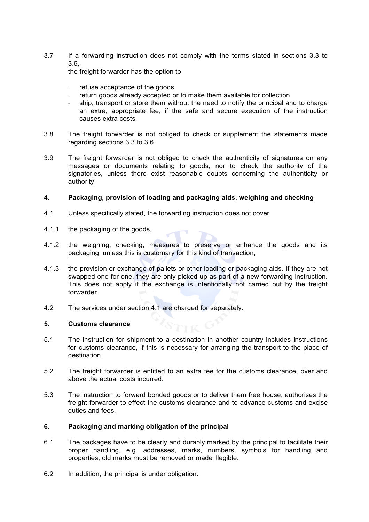3.7 If a forwarding instruction does not comply with the terms stated in sections 3.3 to 3.6,

the freight forwarder has the option to

- refuse acceptance of the goods
- return goods already accepted or to make them available for collection
- ship, transport or store them without the need to notify the principal and to charge an extra, appropriate fee, if the safe and secure execution of the instruction causes extra costs.
- 3.8 The freight forwarder is not obliged to check or supplement the statements made regarding sections 3.3 to 3.6.
- 3.9 The freight forwarder is not obliged to check the authenticity of signatures on any messages or documents relating to goods, nor to check the authority of the signatories, unless there exist reasonable doubts concerning the authenticity or authority.

## **4. Packaging, provision of loading and packaging aids, weighing and checking**

- 4.1 Unless specifically stated, the forwarding instruction does not cover
- 4.1.1 the packaging of the goods,
- 4.1.2 the weighing, checking, measures to preserve or enhance the goods and its packaging, unless this is customary for this kind of transaction,
- 4.1.3 the provision or exchange of pallets or other loading or packaging aids. If they are not swapped one-for-one, they are only picked up as part of a new forwarding instruction. This does not apply if the exchange is intentionally not carried out by the freight forwarder.
- 4.2 The services under section 4.1 are charged for separately.

#### **5. Customs clearance**

- 5.1 The instruction for shipment to a destination in another country includes instructions for customs clearance, if this is necessary for arranging the transport to the place of destination.
- 5.2 The freight forwarder is entitled to an extra fee for the customs clearance, over and above the actual costs incurred.
- 5.3 The instruction to forward bonded goods or to deliver them free house, authorises the freight forwarder to effect the customs clearance and to advance customs and excise duties and fees.

#### **6. Packaging and marking obligation of the principal**

- 6.1 The packages have to be clearly and durably marked by the principal to facilitate their proper handling, e.g. addresses, marks, numbers, symbols for handling and properties; old marks must be removed or made illegible.
- 6.2 In addition, the principal is under obligation: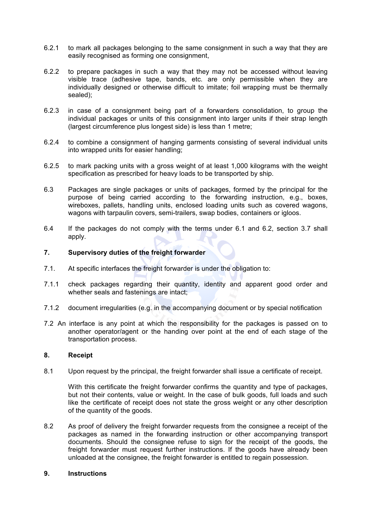- 6.2.1 to mark all packages belonging to the same consignment in such a way that they are easily recognised as forming one consignment,
- 6.2.2 to prepare packages in such a way that they may not be accessed without leaving visible trace (adhesive tape, bands, etc. are only permissible when they are individually designed or otherwise difficult to imitate; foil wrapping must be thermally sealed);
- 6.2.3 in case of a consignment being part of a forwarders consolidation, to group the individual packages or units of this consignment into larger units if their strap length (largest circumference plus longest side) is less than 1 metre;
- 6.2.4 to combine a consignment of hanging garments consisting of several individual units into wrapped units for easier handling;
- 6.2.5 to mark packing units with a gross weight of at least 1,000 kilograms with the weight specification as prescribed for heavy loads to be transported by ship.
- 6.3 Packages are single packages or units of packages, formed by the principal for the purpose of being carried according to the forwarding instruction, e.g., boxes, wireboxes, pallets, handling units, enclosed loading units such as covered wagons, wagons with tarpaulin covers, semi-trailers, swap bodies, containers or igloos.
- 6.4 If the packages do not comply with the terms under 6.1 and 6.2, section 3.7 shall apply.

## **7. Supervisory duties of the freight forwarder**

- 7.1. At specific interfaces the freight forwarder is under the obligation to:
- 7.1.1 check packages regarding their quantity, identity and apparent good order and whether seals and fastenings are intact:
- 7.1.2 document irregularities (e.g. in the accompanying document or by special notification
- 7.2 An interface is any point at which the responsibility for the packages is passed on to another operator/agent or the handing over point at the end of each stage of the transportation process.

#### **8. Receipt**

8.1 Upon request by the principal, the freight forwarder shall issue a certificate of receipt.

With this certificate the freight forwarder confirms the quantity and type of packages, but not their contents, value or weight. In the case of bulk goods, full loads and such like the certificate of receipt does not state the gross weight or any other description of the quantity of the goods.

8.2 As proof of delivery the freight forwarder requests from the consignee a receipt of the packages as named in the forwarding instruction or other accompanying transport documents. Should the consignee refuse to sign for the receipt of the goods, the freight forwarder must request further instructions. If the goods have already been unloaded at the consignee, the freight forwarder is entitled to regain possession.

#### **9. Instructions**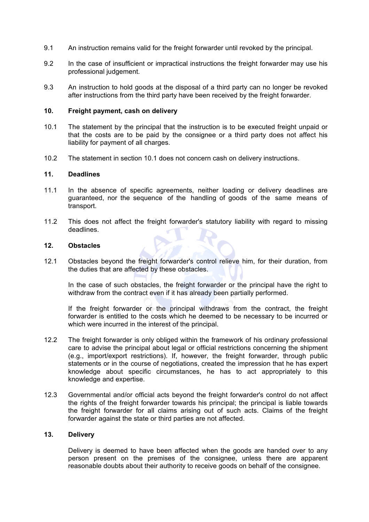- 9.1 An instruction remains valid for the freight forwarder until revoked by the principal.
- 9.2 In the case of insufficient or impractical instructions the freight forwarder may use his professional judgement.
- 9.3 An instruction to hold goods at the disposal of a third party can no longer be revoked after instructions from the third party have been received by the freight forwarder.

#### **10. Freight payment, cash on delivery**

- 10.1 The statement by the principal that the instruction is to be executed freight unpaid or that the costs are to be paid by the consignee or a third party does not affect his liability for payment of all charges.
- 10.2 The statement in section 10.1 does not concern cash on delivery instructions.

### **11. Deadlines**

- 11.1 In the absence of specific agreements, neither loading or delivery deadlines are guaranteed, nor the sequence of the handling of goods of the same means of transport.
- 11.2 This does not affect the freight forwarder's statutory liability with regard to missing deadlines.

#### **12. Obstacles**

12.1 Obstacles beyond the freight forwarder's control relieve him, for their duration, from the duties that are affected by these obstacles.

In the case of such obstacles, the freight forwarder or the principal have the right to withdraw from the contract even if it has already been partially performed.

If the freight forwarder or the principal withdraws from the contract, the freight forwarder is entitled to the costs which he deemed to be necessary to be incurred or which were incurred in the interest of the principal.

- 12.2 The freight forwarder is only obliged within the framework of his ordinary professional care to advise the principal about legal or official restrictions concerning the shipment (e.g., import/export restrictions). If, however, the freight forwarder, through public statements or in the course of negotiations, created the impression that he has expert knowledge about specific circumstances, he has to act appropriately to this knowledge and expertise.
- 12.3 Governmental and/or official acts beyond the freight forwarder's control do not affect the rights of the freight forwarder towards his principal; the principal is liable towards the freight forwarder for all claims arising out of such acts. Claims of the freight forwarder against the state or third parties are not affected.

# **13. Delivery**

Delivery is deemed to have been affected when the goods are handed over to any person present on the premises of the consignee, unless there are apparent reasonable doubts about their authority to receive goods on behalf of the consignee.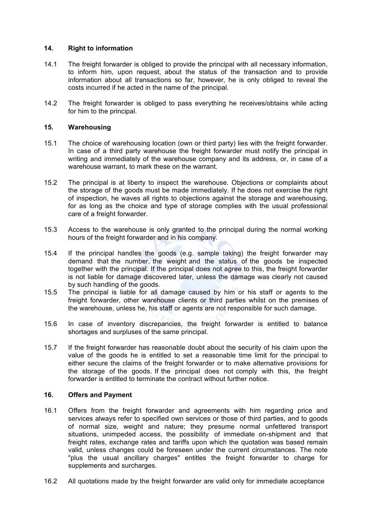## **14. Right to information**

- 14.1 The freight forwarder is obliged to provide the principal with all necessary information, to inform him, upon request, about the status of the transaction and to provide information about all transactions so far, however, he is only obliged to reveal the costs incurred if he acted in the name of the principal.
- 14.2 The freight forwarder is obliged to pass everything he receives/obtains while acting for him to the principal.

## **15. Warehousing**

- 15.1 The choice of warehousing location (own or third party) lies with the freight forwarder. In case of a third party warehouse the freight forwarder must notify the principal in writing and immediately of the warehouse company and its address, or, in case of a warehouse warrant, to mark these on the warrant.
- 15.2 The principal is at liberty to inspect the warehouse. Objections or complaints about the storage of the goods must be made immediately. If he does not exercise the right of inspection, he waves all rights to objections against the storage and warehousing, for as long as the choice and type of storage complies with the usual professional care of a freight forwarder.
- 15.3 Access to the warehouse is only granted to the principal during the normal working hours of the freight forwarder and in his company.
- 15.4 If the principal handles the goods (e.g. sample taking) the freight forwarder may demand that the number, the weight and the status of the goods be inspected together with the principal. If the principal does not agree to this, the freight forwarder is not liable for damage discovered later, unless the damage was clearly not caused by such handling of the goods.
- 15.5 The principal is liable for all damage caused by him or his staff or agents to the freight forwarder, other warehouse clients or third parties whilst on the premises of the warehouse, unless he, his staff or agents are not responsible for such damage.
- 15.6 In case of inventory discrepancies, the freight forwarder is entitled to balance shortages and surpluses of the same principal.
- 15.7 If the freight forwarder has reasonable doubt about the security of his claim upon the value of the goods he is entitled to set a reasonable time limit for the principal to either secure the claims of the freight forwarder or to make alternative provisions for the storage of the goods. If the principal does not comply with this, the freight forwarder is entitled to terminate the contract without further notice.

#### **16. Offers and Payment**

- 16.1 Offers from the freight forwarder and agreements with him regarding price and services always refer to specified own services or those of third parties, and to goods of normal size, weight and nature; they presume normal unfettered transport situations, unimpeded access, the possibility of immediate on-shipment and that freight rates, exchange rates and tariffs upon which the quotation was based remain valid, unless changes could be foreseen under the current circumstances. The note "plus the usual ancillary charges" entitles the freight forwarder to charge for supplements and surcharges.
- 16.2 All quotations made by the freight forwarder are valid only for immediate acceptance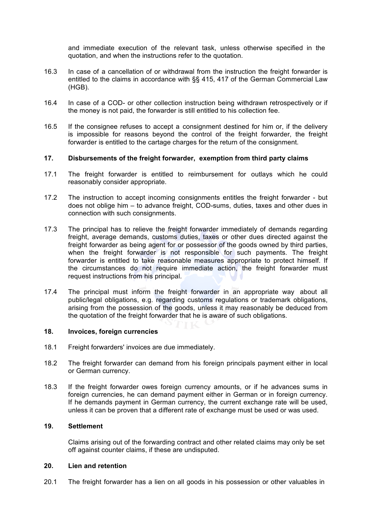and immediate execution of the relevant task, unless otherwise specified in the quotation, and when the instructions refer to the quotation.

- 16.3 In case of a cancellation of or withdrawal from the instruction the freight forwarder is entitled to the claims in accordance with §§ 415, 417 of the German Commercial Law (HGB).
- 16.4 In case of a COD- or other collection instruction being withdrawn retrospectively or if the money is not paid, the forwarder is still entitled to his collection fee.
- 16.5 If the consignee refuses to accept a consignment destined for him or, if the delivery is impossible for reasons beyond the control of the freight forwarder, the freight forwarder is entitled to the cartage charges for the return of the consignment.

#### **17. Disbursements of the freight forwarder, exemption from third party claims**

- 17.1 The freight forwarder is entitled to reimbursement for outlays which he could reasonably consider appropriate.
- 17.2 The instruction to accept incoming consignments entitles the freight forwarder but does not oblige him – to advance freight, COD-sums, duties, taxes and other dues in connection with such consignments.
- 17.3 The principal has to relieve the freight forwarder immediately of demands regarding freight, average demands, customs duties, taxes or other dues directed against the freight forwarder as being agent for or possessor of the goods owned by third parties, when the freight forwarder is not responsible for such payments. The freight forwarder is entitled to take reasonable measures appropriate to protect himself. If the circumstances do not require immediate action, the freight forwarder must request instructions from his principal.
- 17.4 The principal must inform the freight forwarder in an appropriate way about all public/legal obligations, e.g. regarding customs regulations or trademark obligations, arising from the possession of the goods, unless it may reasonably be deduced from the quotation of the freight forwarder that he is aware of such obligations.

#### **18. Invoices, foreign currencies**

- 18.1 Freight forwarders' invoices are due immediately.
- 18.2 The freight forwarder can demand from his foreign principals payment either in local or German currency.
- 18.3 If the freight forwarder owes foreign currency amounts, or if he advances sums in foreign currencies, he can demand payment either in German or in foreign currency. If he demands payment in German currency, the current exchange rate will be used, unless it can be proven that a different rate of exchange must be used or was used.

#### **19. Settlement**

Claims arising out of the forwarding contract and other related claims may only be set off against counter claims, if these are undisputed.

# **20. Lien and retention**

20.1 The freight forwarder has a lien on all goods in his possession or other valuables in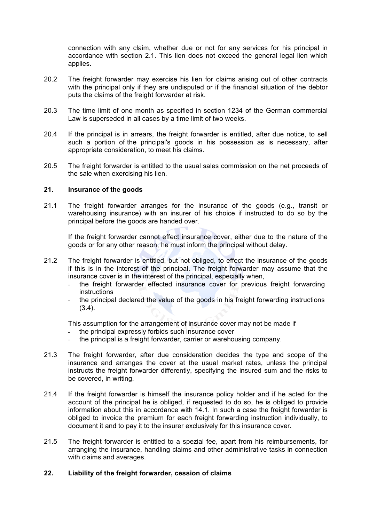connection with any claim, whether due or not for any services for his principal in accordance with section 2.1. This lien does not exceed the general legal lien which applies.

- 20.2 The freight forwarder may exercise his lien for claims arising out of other contracts with the principal only if they are undisputed or if the financial situation of the debtor puts the claims of the freight forwarder at risk.
- 20.3 The time limit of one month as specified in section 1234 of the German commercial Law is superseded in all cases by a time limit of two weeks.
- 20.4 If the principal is in arrears, the freight forwarder is entitled, after due notice, to sell such a portion of the principal's goods in his possession as is necessary, after appropriate consideration, to meet his claims.
- 20.5 The freight forwarder is entitled to the usual sales commission on the net proceeds of the sale when exercising his lien.

#### **21. Insurance of the goods**

21.1 The freight forwarder arranges for the insurance of the goods (e.g., transit or warehousing insurance) with an insurer of his choice if instructed to do so by the principal before the goods are handed over.

If the freight forwarder cannot effect insurance cover, either due to the nature of the goods or for any other reason, he must inform the principal without delay.

- 21.2 The freight forwarder is entitled, but not obliged, to effect the insurance of the goods if this is in the interest of the principal. The freight forwarder may assume that the insurance cover is in the interest of the principal, especially when,
	- the freight forwarder effected insurance cover for previous freight forwarding instructions
	- the principal declared the value of the goods in his freight forwarding instructions (3.4).

This assumption for the arrangement of insurance cover may not be made if

- the principal expressly forbids such insurance cover
- the principal is a freight forwarder, carrier or warehousing company.
- 21.3 The freight forwarder, after due consideration decides the type and scope of the insurance and arranges the cover at the usual market rates, unless the principal instructs the freight forwarder differently, specifying the insured sum and the risks to be covered, in writing.
- 21.4 If the freight forwarder is himself the insurance policy holder and if he acted for the account of the principal he is obliged, if requested to do so, he is obliged to provide information about this in accordance with 14.1. In such a case the freight forwarder is obliged to invoice the premium for each freight forwarding instruction individually, to document it and to pay it to the insurer exclusively for this insurance cover.
- 21.5 The freight forwarder is entitled to a spezial fee, apart from his reimbursements, for arranging the insurance, handling claims and other administrative tasks in connection with claims and averages.

#### **22. Liability of the freight forwarder, cession of claims**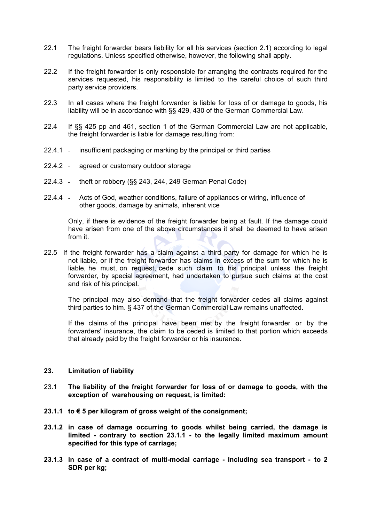- 22.1 The freight forwarder bears liability for all his services (section 2.1) according to legal regulations. Unless specified otherwise, however, the following shall apply.
- 22.2 If the freight forwarder is only responsible for arranging the contracts required for the services requested, his responsibility is limited to the careful choice of such third party service providers.
- 22.3 In all cases where the freight forwarder is liable for loss of or damage to goods, his liability will be in accordance with §§ 429, 430 of the German Commercial Law.
- 22.4 If §§ 425 pp and 461, section 1 of the German Commercial Law are not applicable, the freight forwarder is liable for damage resulting from:
- 22.4.1 insufficient packaging or marking by the principal or third parties
- 22.4.2 agreed or customary outdoor storage
- 22.4.3 theft or robbery (§§ 243, 244, 249 German Penal Code)
- 22.4.4 Acts of God, weather conditions, failure of appliances or wiring, influence of other goods, damage by animals, inherent vice

Only, if there is evidence of the freight forwarder being at fault. If the damage could have arisen from one of the above circumstances it shall be deemed to have arisen from it.

22.5 If the freight forwarder has a claim against a third party for damage for which he is not liable, or if the freight forwarder has claims in excess of the sum for which he is liable, he must, on request, cede such claim to his principal, unless the freight forwarder, by special agreement, had undertaken to pursue such claims at the cost and risk of his principal.

The principal may also demand that the freight forwarder cedes all claims against third parties to him. § 437 of the German Commercial Law remains unaffected.

If the claims of the principal have been met by the freight forwarder or by the forwarders' insurance, the claim to be ceded is limited to that portion which exceeds that already paid by the freight forwarder or his insurance.

#### **23. Limitation of liability**

- 23.1 **The liability of the freight forwarder for loss of or damage to goods, with the exception of warehousing on request, is limited:**
- **23.1.1 to € 5 per kilogram of gross weight of the consignment;**
- **23.1.2 in case of damage occurring to goods whilst being carried, the damage is limited - contrary to section 23.1.1 - to the legally limited maximum amount specified for this type of carriage;**
- **23.1.3 in case of a contract of multi-modal carriage - including sea transport - to 2 SDR per kg;**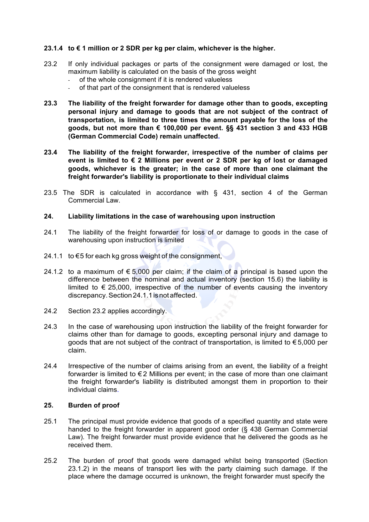# **23.1.4 to € 1 million or 2 SDR per kg per claim, whichever is the higher.**

- 23.2 If only individual packages or parts of the consignment were damaged or lost, the maximum liability is calculated on the basis of the gross weight
	- of the whole consignment if it is rendered valueless
	- of that part of the consignment that is rendered valueless
- **23.3 The liability of the freight forwarder for damage other than to goods, excepting personal injury and damage to goods that are not subject of the contract of transportation, is limited to three times the amount payable for the loss of the goods, but not more than € 100,000 per event. §§ 431 section 3 and 433 HGB (German Commercial Code) remain unaffected.**
- **23.4 The liability of the freight forwarder, irrespective of the number of claims per event is limited to € 2 Millions per event or 2 SDR per kg of lost or damaged goods, whichever is the greater; in the case of more than one claimant the freight forwarder's liability is proportionate to their individual claims**
- 23.5 The SDR is calculated in accordance with § 431, section 4 of the German Commercial Law.

#### **24. Liability limitations in the case of warehousing upon instruction**

- 24.1 The liability of the freight forwarder for loss of or damage to goods in the case of warehousing upon instruction is limited
- 24.1.1 to  $\epsilon$ 5 for each kg gross weight of the consignment,
- 24.1.2 to a maximum of  $\epsilon$  5,000 per claim; if the claim of a principal is based upon the difference between the nominal and actual inventory (section 15.6) the liability is limited to  $\epsilon$  25,000, irrespective of the number of events causing the inventory discrepancy. Section 24.1.1 is not affected.
- 24.2 Section 23.2 applies accordingly.
- 24.3 In the case of warehousing upon instruction the liability of the freight forwarder for claims other than for damage to goods, excepting personal injury and damage to goods that are not subject of the contract of transportation, is limited to  $\epsilon$  5,000 per claim.
- 24.4 Irrespective of the number of claims arising from an event, the liability of a freight forwarder is limited to  $\epsilon$  2 Millions per event; in the case of more than one claimant the freight forwarder's liability is distributed amongst them in proportion to their individual claims.

#### **25. Burden of proof**

- 25.1 The principal must provide evidence that goods of a specified quantity and state were handed to the freight forwarder in apparent good order (§ 438 German Commercial Law). The freight forwarder must provide evidence that he delivered the goods as he received them.
- 25.2 The burden of proof that goods were damaged whilst being transported (Section 23.1.2) in the means of transport lies with the party claiming such damage. If the place where the damage occurred is unknown, the freight forwarder must specify the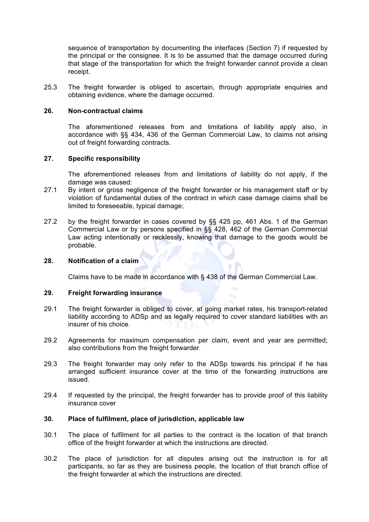sequence of transportation by documenting the interfaces (Section 7) if requested by the principal or the consignee. It is to be assumed that the damage occurred during that stage of the transportation for which the freight forwarder cannot provide a clean receipt.

25.3 The freight forwarder is obliged to ascertain, through appropriate enquiries and obtaining evidence, where the damage occurred.

#### **26. Non-contractual claims**

The aforementioned releases from and limitations of liability apply also, in accordance with §§ 434, 436 of the German Commercial Law, to claims not arising out of freight forwarding contracts.

#### **27. Specific responsibility**

The aforementioned releases from and limitations of liability do not apply, if the damage was caused:

- 27.1 By intent or gross negligence of the freight forwarder or his management staff *or* by violation of fundamental duties of the contract in which case damage claims shall be limited to foreseeable, typical damage;
- 27.2 by the freight forwarder in cases covered by §§ 425 pp, 461 Abs. 1 of the German Commercial Law or by persons specified in §§ 428, 462 of the German Commercial Law acting intentionally or recklessly, knowing that damage to the goods would be probable.

#### **28. Notification of a claim**

Claims have to be made in accordance with § 438 of the German Commercial Law.

#### **29. Freight forwarding insurance**

- 29.1 The freight forwarder is obliged to cover, at going market rates, his transport-related liability according to ADSp and as legally required to cover standard liabilities with an insurer of his choice.
- 29.2 Agreements for maximum compensation per claim, event and year are permitted; also contributions from the freight forwarder.
- 29.3 The freight forwarder may only refer to the ADSp towards his principal if he has arranged sufficient insurance cover at the time of the forwarding instructions are issued.
- 29.4 If requested by the principal, the freight forwarder has to provide proof of this liability insurance cover

#### **30. Place of fulfilment, place of jurisdiction, applicable law**

- 30.1 The place of fulfilment for all parties to the contract is the location of that branch office of the freight forwarder at which the instructions are directed.
- 30.2 The place of jurisdiction for all disputes arising out the instruction is for all participants, so far as they are business people, the location of that branch office of the freight forwarder at which the instructions are directed.